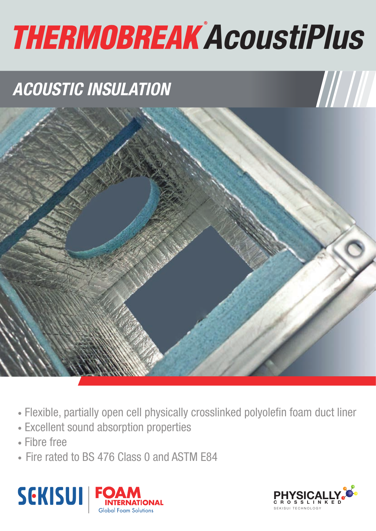# **THERMOBREAK AcoustiPlus**

# *ACOUSTIC INSULATION*



- Flexible, partially open cell physically crosslinked polyolefin foam duct liner
- Excellent sound absorption properties
- Fibre free
- Fire rated to BS 476 Class 0 and ASTM E84



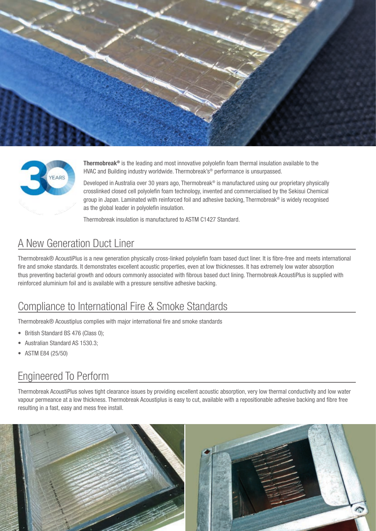



Thermobreak® is the leading and most innovative polyolefin foam thermal insulation available to the HVAC and Building industry worldwide. Thermobreak's<sup>®</sup> performance is unsurpassed.

Developed in Australia over 30 years ago, Thermobreak® is manufactured using our proprietary physically crosslinked closed cell polyolefin foam technology, invented and commercialised by the Sekisui Chemical group in Japan. Laminated with reinforced foil and adhesive backing, Thermobreak® is widely recognised as the global leader in polyolefin insulation.

Thermobreak insulation is manufactured to ASTM C1427 Standard.

# A New Generation Duct Liner

Thermobreak® AcoustiPlus is a new generation physically cross-linked polyolefin foam based duct liner. It is fibre-free and meets international fire and smoke standards. It demonstrates excellent acoustic properties, even at low thicknesses. It has extremely low water absorption thus preventing bacterial growth and odours commonly associated with fibrous based duct lining. Thermobreak AcoustiPlus is supplied with reinforced aluminium foil and is available with a pressure sensitive adhesive backing.

## Compliance to International Fire & Smoke Standards

Thermobreak® Acoustiplus complies with major international fire and smoke standards

- British Standard BS 476 (Class 0):
- Australian Standard AS 1530.3;
- ASTM E84 (25/50)

## Engineered To Perform

Thermobreak AcoustiPlus solves tight clearance issues by providing excellent acoustic absorption, very low thermal conductivity and low water vapour permeance at a low thickness. Thermobreak Acoustiplus is easy to cut, available with a repositionable adhesive backing and fibre free resulting in a fast, easy and mess free install.

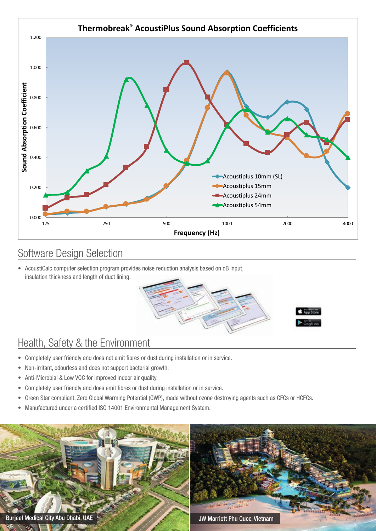

### Software Design Selection

• AcoustiCalc computer selection program provides noise reduction analysis based on dB input, insulation thickness and length of duct lining.



# Health, Safety & the Environment

- Completely user friendly and does not emit fibres or dust during installation or in service.
- Non-irritant, odourless and does not support bacterial growth.
- Anti-Microbial & Low VOC for improved indoor air quality.
- Completely user friendly and does emit fibres or dust during installation or in service.
- Green Star compliant, Zero Global Warming Potential (GWP), made without ozone destroying agents such as CFCs or HCFCs.
- Manufactured under a certified ISO 14001 Environmental Management System.